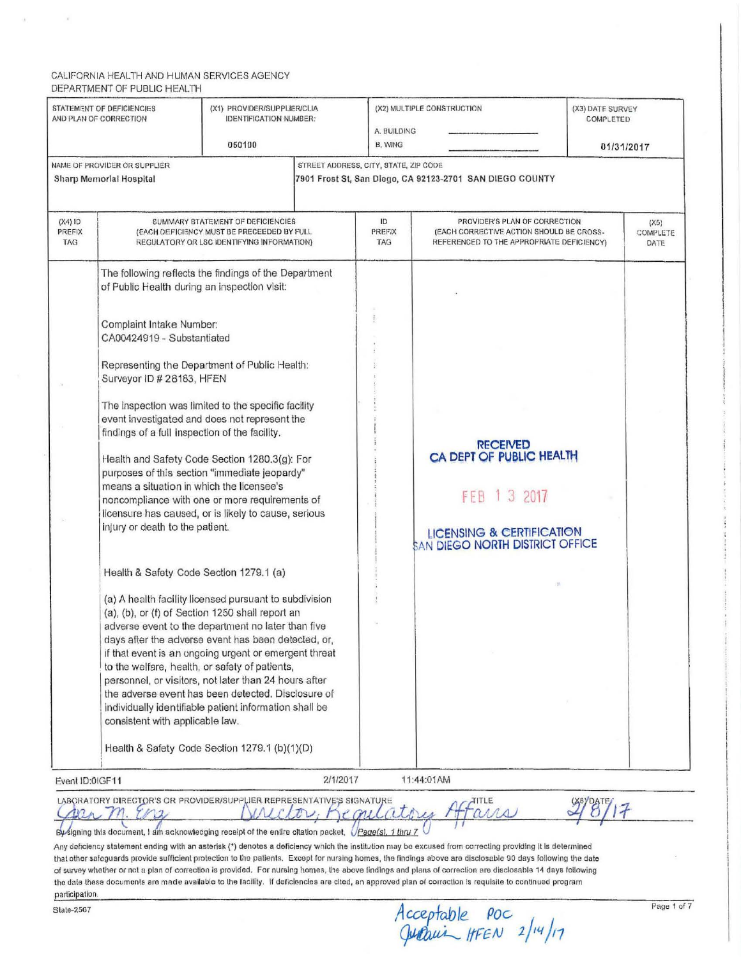|                                   | STATEMENT OF DEFICIENCIES<br>AND PLAN OF CORRECTION                                                                                                                                                                                                                                                                                                                                                   | (X1) PROVIDER/SUPPLIER/CLIA<br><b>IDENTIFICATION NUMBER:</b><br>050100                                                                                                                                                                                                                                                                                                                                                                                                                                                                                                                                                                                                                                                                                                                                                                                                                  | A. BUILDING<br>B. WING                | (X2) MULTIPLE CONSTRUCTION                                                                                                                    | (X3) DATE SURVEY<br>COMPLETED | 01/31/2017               |
|-----------------------------------|-------------------------------------------------------------------------------------------------------------------------------------------------------------------------------------------------------------------------------------------------------------------------------------------------------------------------------------------------------------------------------------------------------|-----------------------------------------------------------------------------------------------------------------------------------------------------------------------------------------------------------------------------------------------------------------------------------------------------------------------------------------------------------------------------------------------------------------------------------------------------------------------------------------------------------------------------------------------------------------------------------------------------------------------------------------------------------------------------------------------------------------------------------------------------------------------------------------------------------------------------------------------------------------------------------------|---------------------------------------|-----------------------------------------------------------------------------------------------------------------------------------------------|-------------------------------|--------------------------|
|                                   | NAME OF PROVIDER OR SUPPLIER<br>Sharp Memorial Hospital                                                                                                                                                                                                                                                                                                                                               |                                                                                                                                                                                                                                                                                                                                                                                                                                                                                                                                                                                                                                                                                                                                                                                                                                                                                         | STREET ADDRESS, CITY, STATE, ZIP CODE | 7901 Frost St, San Diego, CA 92123-2701 SAN DIEGO COUNTY                                                                                      |                               |                          |
| $(X4)$ ID<br><b>PREFIX</b><br>TAG |                                                                                                                                                                                                                                                                                                                                                                                                       | SUMMARY STATEMENT OF DEFICIENCIES<br>(EACH DEFIGIENCY MUST BE PRECEEDED BY FULL<br>REGULATORY OR LSC IDENTIFYING INFORMATION)                                                                                                                                                                                                                                                                                                                                                                                                                                                                                                                                                                                                                                                                                                                                                           | ID<br>PREFIX<br><b>TAG</b>            | PROVIDER'S PLAN OF CORRECTION<br>(EACH CORRECTIVE ACTION SHOULD BE CROSS-<br>REFERENCED TO THE APPROPRIATE DEFICIENCY)                        |                               | (X5)<br>COMPLETE<br>DATE |
|                                   | of Public Health during an inspection visit:<br>Complaint Intake Number:<br>CA00424919 - Substantiated<br>Surveyor ID # 28183, HFEN<br>findings of a full inspection of the facility.<br>means a situation in which the licensee's<br>injury or death to the patient.<br>Health & Safety Code Section 1279.1 (a)<br>to the welfare, health, or safety of patients,<br>consistent with applicable law. | The following reflects the findings of the Department<br>Representing the Department of Public Health:<br>The inspection was limited to the specific facility<br>event investigated and does not represent the<br>Health and Safety Code Section 1280.3(g): For<br>purposes of this section "immediate jeopardy"<br>noncompliance with one or more requirements of<br>licensure has caused, or is likely to cause, serious<br>(a) A health facility licensed pursuant to subdivision<br>(a), (b), or (f) of Section 1250 shall report an<br>adverse event to the department no later than five<br>days after the adverse event has been detected, or,<br>if that event is an ongoing urgent or emergent threat<br>personnel, or visitors, not later than 24 hours after<br>the adverse event has been detected. Disclosure of<br>individually identifiable patient information shall be |                                       | <b>RECEIVED</b><br>CA DEPT OF PUBLIC HEALTH<br>FEB 1 3 2017<br><b>LICENSING &amp; CERTIFICATION</b><br><b>SAN DIEGO NORTH DISTRICT OFFICE</b> |                               |                          |
| Event ID:01GF11                   |                                                                                                                                                                                                                                                                                                                                                                                                       | Health & Safety Code Section 1279.1 (b)(1)(D)                                                                                                                                                                                                                                                                                                                                                                                                                                                                                                                                                                                                                                                                                                                                                                                                                                           | 2/1/2017                              | 11:44:01AM                                                                                                                                    |                               |                          |

signing this document, I am acknowledging receipt of the enlire citation packet,  $\sqrt{P_{\text{QQQ}}(s)$ , 1 thru 7

Any deficiency statement ending with an asterisk (\*) denotes a deficiency which the institution may be excused from correcting providing it is determined that other safeguards provide sufficient protection to the patients. Except for nursing homes, the findings above are disclosable 90 days following the date of survey whether or not a plan or correction is provided. For nursing homes, the above lindlngs end plans of correction are disclosable 14 days following the date these documents are made available to the facility. If deficiencies are cited, an approved plan of correction is requisite to continued program participation,

 $\frac{p_{\text{age 1 of 7}}}{\text{State-2567}}$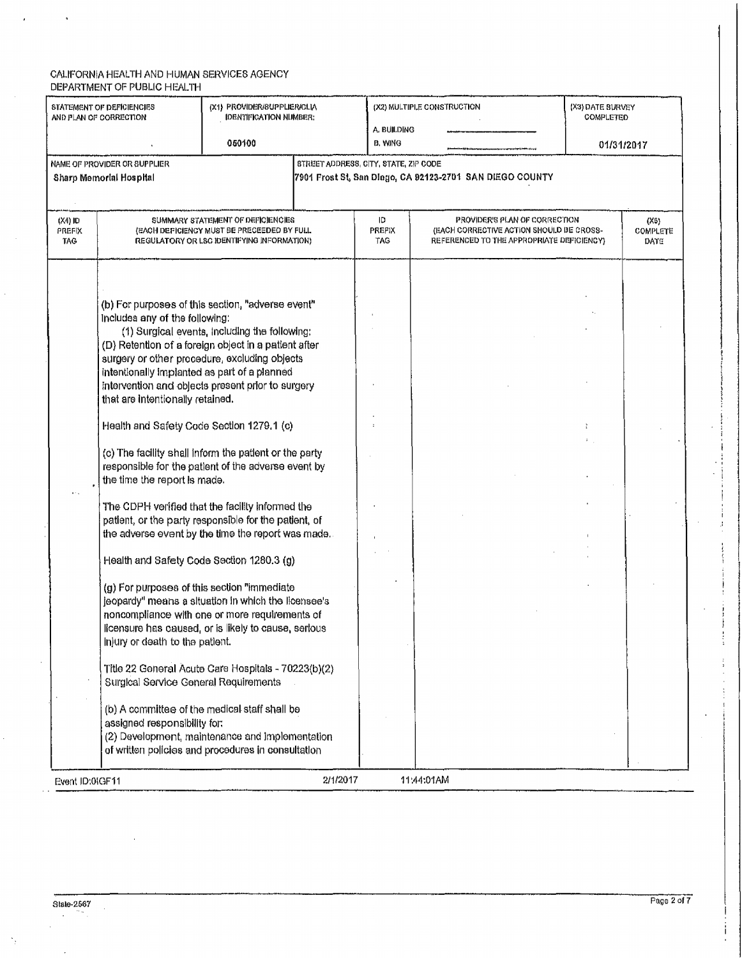$\epsilon$ 

 $\bar{z}$ 

 $\hat{\textbf{z}}$ 

| STATEMENT OF DEFICIENCIES<br>and Plan of Correction<br>060100                                                                                                |                                                                                                                                                                                                                                                                                                                                                                                                         | (X1) PROVIDER/SUPPLIER/CLIA<br><b>IDENTIFICATION NUMBER:</b>                                                                                                                                                                                                                                                                                                                                                                                                                                                                                                                                                                                                                                                                                                                                                                                                                                                                           | A. BUILDING<br>B. WING | (X2) MULTIPLE CONSTRUCTION                                                                                             | (X3) DATE BURVEY<br>COMPLETED<br>01/31/2017 |                                 |
|--------------------------------------------------------------------------------------------------------------------------------------------------------------|---------------------------------------------------------------------------------------------------------------------------------------------------------------------------------------------------------------------------------------------------------------------------------------------------------------------------------------------------------------------------------------------------------|----------------------------------------------------------------------------------------------------------------------------------------------------------------------------------------------------------------------------------------------------------------------------------------------------------------------------------------------------------------------------------------------------------------------------------------------------------------------------------------------------------------------------------------------------------------------------------------------------------------------------------------------------------------------------------------------------------------------------------------------------------------------------------------------------------------------------------------------------------------------------------------------------------------------------------------|------------------------|------------------------------------------------------------------------------------------------------------------------|---------------------------------------------|---------------------------------|
| STREET ADDRESS, CITY, STATE, ZIP CODE<br>NAME OF PROVIDER OR SUPPLIER<br>7901 Frost St, San Diego, CA 92123-2701 SAN DIEGO COUNTY<br>Sharp Memorial Hospital |                                                                                                                                                                                                                                                                                                                                                                                                         |                                                                                                                                                                                                                                                                                                                                                                                                                                                                                                                                                                                                                                                                                                                                                                                                                                                                                                                                        |                        |                                                                                                                        |                                             |                                 |
| (X4) ID<br>PREFIX<br>TAG.                                                                                                                                    |                                                                                                                                                                                                                                                                                                                                                                                                         | SUMMARY STATEMENT OF DEFICIENCIES<br>(EACH DEPICIENCY MUST BE PRECEEDED BY FULL<br>REGULATORY OR LSC IDENTIFYING INFORMATION)                                                                                                                                                                                                                                                                                                                                                                                                                                                                                                                                                                                                                                                                                                                                                                                                          | ID<br>PREFIX<br>TAG    | PROVIDER'S PLAN OF CORRECTION<br>(EACH CORRECTIVE ACTION SHOULD BE CROSS-<br>REFERENCED TO THE APPROPRIATE DEFICIENCY) |                                             | (X5)<br><b>COMPLETE</b><br>DATE |
|                                                                                                                                                              | Includes any of the following:<br>intentionally implanted as part of a planned<br>that are intentionally retained.<br>Health and Safety Code Section 1279.1 (c)<br>the time the report is made.<br>Health and Safety Code Section 1280.3 (g)<br>(g) For purposes of this section "immediate<br>injury or death to the patient.<br>Surgical Service General Requirements<br>assigned responsibility for: | (b) For purposes of this section, "adverse event"<br>(1) Surgical events, including the following:<br>(D) Retention of a foreign object in a patient after<br>surgery or other procedure, excluding objects<br>intervention and objects present prior to surgery<br>(c) The facility shall inform the patient or the party<br>responsible for the patient of the adverse event by<br>The CDPH verified that the facility informed the<br>patient, or the party responsible for the patient, of<br>the adverse event by the time the report was made.<br>jeopardy" means a situation in which the licensee's<br>noncompliance with one or more requirements of<br>licensure has caused, or is likely to cause, serious<br>Title 22 General Acute Care Hospitals - 70223(b)(2)<br>(b) A committee of the medical staff shall be<br>(2) Development, maintenance and implementation<br>of written policies and procedures in consultation |                        |                                                                                                                        |                                             |                                 |
| Event ID:01GF11                                                                                                                                              |                                                                                                                                                                                                                                                                                                                                                                                                         | 2/1/2017                                                                                                                                                                                                                                                                                                                                                                                                                                                                                                                                                                                                                                                                                                                                                                                                                                                                                                                               |                        | 11:44:01AM                                                                                                             |                                             |                                 |

 $\mathcal{A}$ 

 $\gamma_{\rm g}$ 

 $\mathcal{L}$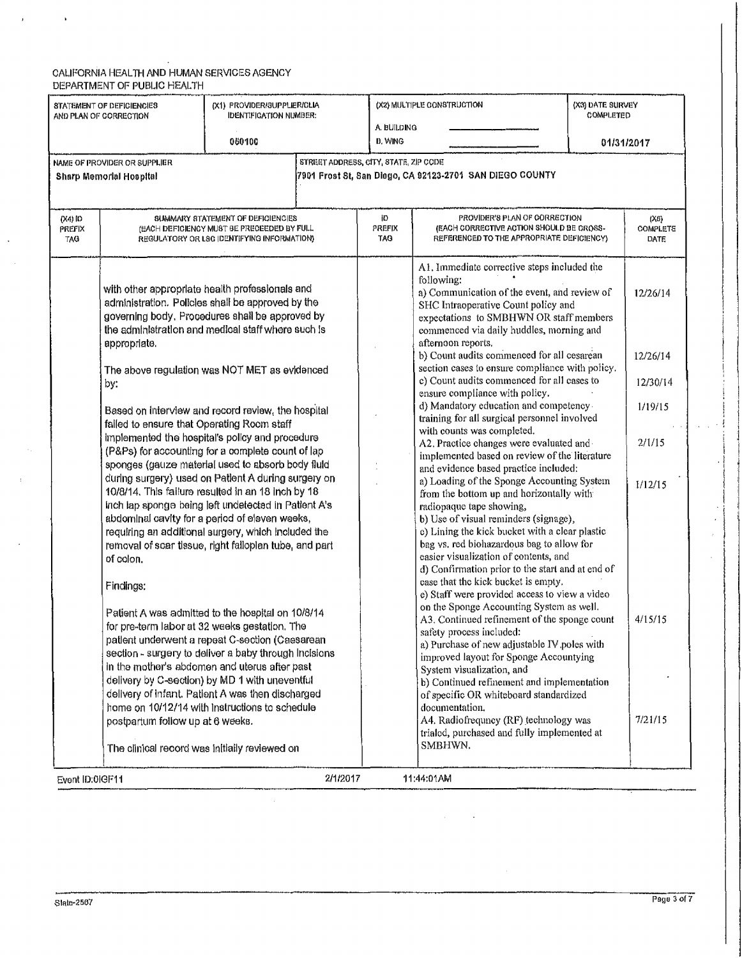#### $\blacksquare$ CAl.lrORNIA HEALTH AND HUMAN SERVICES AGENCY DEPARTMENT OF PUBUC HEALTH

 $\hat{\mathbf{r}}$ 

 $\hat{\boldsymbol{r}}$ 

 $\bar{\beta}$ 

 $\overline{1}$ 

 $\hat{\mathcal{A}}$ 

| <b>D. WING</b><br>060100<br>01/31/2017<br>STREET ADDRESS, CITY, STATE, ZIP CODE<br>NAME OF PROVIDER OR SUPPLIER<br>7901 Frost St, San Diego, CA 92123-2701 SAN DIEGO COUNTY<br><b>Sharp Memorial Hospital</b><br>ID<br>PROVIDER'S PLAN OF CORRECTION<br>(X4) ID<br>SUMMARY STATEMENT OF DEFICIENCIES<br>(X5)<br>(EACH CORRECTIVE ACTION SHOULD BE CROSS-<br>(EACH DEFIGIENCY MUST BE PRECEEDED BY FULL<br>PREFIX<br><b>COMPLETE</b><br>PREFIX<br>TAO<br>REFERENCED TO THE APPROPRIATE DEFICIENCY)<br>TAG<br>REGULATORY OR LSG IDENTIFYING INFORMATION)<br>DATE<br>A1. Immediate corrective steps included the<br>following:<br>with other appropriate health professionals and<br>a) Communication of the event, and review of<br>12/26/14<br>administration. Policies shall be approved by the<br>SHC Intraoperative Count policy and<br>governing body. Procedures shall be approved by<br>expectations to SMBHWN OR staff members<br>the administration and medical staff where such is<br>commenced via daily huddles, morning and<br>afternoon reports.<br>appropriate.<br>b) Count audits commenced for all cesarean<br>12/26/14<br>section cases to ensure compliance with policy.<br>The above regulation was NOT MET as evidenced<br>c) Count audits commenced for all cases to<br>12/30/14<br>by:<br>ensure compliance with policy.<br>d) Mandatory education and competency-<br>1/19/15<br>Based on interview and record review, the hospital<br>training for all surgical personnel involved<br>falled to ensure that Operating Room staff<br>with counts was completed.<br>implemented the hospital's policy and procedure<br>2/1/15<br>A2. Practice changes were evaluated and -<br>(P&Ps) for accounting for a complete count of lap<br>implemented based on review of the literature<br>sponges (gauze material used to absorb body fluid<br>and evidence based practice included:<br>during surgery) used on Patient A during surgery on<br>a) Loading of the Sponge Accounting System<br>1/12/15<br>10/8/14. This failure resulted in an 18 inch by 18<br>from the bottom up and horizontally with<br>Inch lap sponge being left undetected in Patient A's<br>radiopaque tape showing,<br>abdominal cavity for a period of eleven weeks,<br>b) Use of visual reminders (signage),<br>c) Lining the kick bucket with a clear plastic<br>requiring an additional surgery, which included the<br>bag vs. red biohazardous bag to allow for<br>removal of scar tissue, right falloplan tube, and part<br>easier visualization of contents, and<br>of colon.<br>d) Confirmation prior to the start and at end of<br>case that the kick bucket is empty.<br>Findings:<br>e) Staff were provided access to view a video<br>on the Sponge Accounting System as well.<br>Patient A was admitted to the hospital on 10/8/14<br>A3. Continued refinement of the sponge count<br>4/15/15<br>for pre-term labor at 32 weeks gestation. The<br>safety process included:<br>patlent underwent a repeat C-section (Caesarean<br>a) Purchase of new adjustable IV poles with<br>section - surgery to deliver a baby through Incisions<br>improved layout for Sponge Accountying<br>in the mother's abdomen and uterus after past<br>System visualization, and<br>delivery by C-section) by MD 1 with uneventful<br>b) Continued refinement and implementation<br>delivery of infant. Patient A was then discharged<br>of specific OR whiteboard standardized<br>home on 10/12/14 with instructions to schedule<br>documentation.<br>A4. Radiofrequncy (RF) technology was<br>7/21/15<br>postpartum follow up at 6 weeks.<br>trialed, purchased and fully implemented at<br>SMBHWN.<br>The clinical record was initially reviewed on | STATEMENT OF DEFICIENCIES<br>AND PLAN OF CORRECTION | (X1) PROVIDER/SUPPLIER/CLIA<br><b>IDENTIFICATION NUMBER:</b> | A BUILDING | (X2) MULTIPLE CONSTRUCTION | (X3) DATE SURVEY<br>COMPLETED |  |
|--------------------------------------------------------------------------------------------------------------------------------------------------------------------------------------------------------------------------------------------------------------------------------------------------------------------------------------------------------------------------------------------------------------------------------------------------------------------------------------------------------------------------------------------------------------------------------------------------------------------------------------------------------------------------------------------------------------------------------------------------------------------------------------------------------------------------------------------------------------------------------------------------------------------------------------------------------------------------------------------------------------------------------------------------------------------------------------------------------------------------------------------------------------------------------------------------------------------------------------------------------------------------------------------------------------------------------------------------------------------------------------------------------------------------------------------------------------------------------------------------------------------------------------------------------------------------------------------------------------------------------------------------------------------------------------------------------------------------------------------------------------------------------------------------------------------------------------------------------------------------------------------------------------------------------------------------------------------------------------------------------------------------------------------------------------------------------------------------------------------------------------------------------------------------------------------------------------------------------------------------------------------------------------------------------------------------------------------------------------------------------------------------------------------------------------------------------------------------------------------------------------------------------------------------------------------------------------------------------------------------------------------------------------------------------------------------------------------------------------------------------------------------------------------------------------------------------------------------------------------------------------------------------------------------------------------------------------------------------------------------------------------------------------------------------------------------------------------------------------------------------------------------------------------------------------------------------------------------------------------------------------------------------------------------------------------------------------------------------------------------------------------------------------------------------------------------------------------------------------------------------------------------------------------------------------------------------------------------------------------------------------------------------------------------------------------------------------------------------------|-----------------------------------------------------|--------------------------------------------------------------|------------|----------------------------|-------------------------------|--|
|                                                                                                                                                                                                                                                                                                                                                                                                                                                                                                                                                                                                                                                                                                                                                                                                                                                                                                                                                                                                                                                                                                                                                                                                                                                                                                                                                                                                                                                                                                                                                                                                                                                                                                                                                                                                                                                                                                                                                                                                                                                                                                                                                                                                                                                                                                                                                                                                                                                                                                                                                                                                                                                                                                                                                                                                                                                                                                                                                                                                                                                                                                                                                                                                                                                                                                                                                                                                                                                                                                                                                                                                                                                                                                                                      |                                                     |                                                              |            |                            |                               |  |
|                                                                                                                                                                                                                                                                                                                                                                                                                                                                                                                                                                                                                                                                                                                                                                                                                                                                                                                                                                                                                                                                                                                                                                                                                                                                                                                                                                                                                                                                                                                                                                                                                                                                                                                                                                                                                                                                                                                                                                                                                                                                                                                                                                                                                                                                                                                                                                                                                                                                                                                                                                                                                                                                                                                                                                                                                                                                                                                                                                                                                                                                                                                                                                                                                                                                                                                                                                                                                                                                                                                                                                                                                                                                                                                                      |                                                     |                                                              |            |                            |                               |  |
|                                                                                                                                                                                                                                                                                                                                                                                                                                                                                                                                                                                                                                                                                                                                                                                                                                                                                                                                                                                                                                                                                                                                                                                                                                                                                                                                                                                                                                                                                                                                                                                                                                                                                                                                                                                                                                                                                                                                                                                                                                                                                                                                                                                                                                                                                                                                                                                                                                                                                                                                                                                                                                                                                                                                                                                                                                                                                                                                                                                                                                                                                                                                                                                                                                                                                                                                                                                                                                                                                                                                                                                                                                                                                                                                      |                                                     |                                                              |            |                            |                               |  |
|                                                                                                                                                                                                                                                                                                                                                                                                                                                                                                                                                                                                                                                                                                                                                                                                                                                                                                                                                                                                                                                                                                                                                                                                                                                                                                                                                                                                                                                                                                                                                                                                                                                                                                                                                                                                                                                                                                                                                                                                                                                                                                                                                                                                                                                                                                                                                                                                                                                                                                                                                                                                                                                                                                                                                                                                                                                                                                                                                                                                                                                                                                                                                                                                                                                                                                                                                                                                                                                                                                                                                                                                                                                                                                                                      |                                                     |                                                              |            |                            |                               |  |
|                                                                                                                                                                                                                                                                                                                                                                                                                                                                                                                                                                                                                                                                                                                                                                                                                                                                                                                                                                                                                                                                                                                                                                                                                                                                                                                                                                                                                                                                                                                                                                                                                                                                                                                                                                                                                                                                                                                                                                                                                                                                                                                                                                                                                                                                                                                                                                                                                                                                                                                                                                                                                                                                                                                                                                                                                                                                                                                                                                                                                                                                                                                                                                                                                                                                                                                                                                                                                                                                                                                                                                                                                                                                                                                                      |                                                     |                                                              |            |                            |                               |  |
|                                                                                                                                                                                                                                                                                                                                                                                                                                                                                                                                                                                                                                                                                                                                                                                                                                                                                                                                                                                                                                                                                                                                                                                                                                                                                                                                                                                                                                                                                                                                                                                                                                                                                                                                                                                                                                                                                                                                                                                                                                                                                                                                                                                                                                                                                                                                                                                                                                                                                                                                                                                                                                                                                                                                                                                                                                                                                                                                                                                                                                                                                                                                                                                                                                                                                                                                                                                                                                                                                                                                                                                                                                                                                                                                      |                                                     |                                                              |            |                            |                               |  |
|                                                                                                                                                                                                                                                                                                                                                                                                                                                                                                                                                                                                                                                                                                                                                                                                                                                                                                                                                                                                                                                                                                                                                                                                                                                                                                                                                                                                                                                                                                                                                                                                                                                                                                                                                                                                                                                                                                                                                                                                                                                                                                                                                                                                                                                                                                                                                                                                                                                                                                                                                                                                                                                                                                                                                                                                                                                                                                                                                                                                                                                                                                                                                                                                                                                                                                                                                                                                                                                                                                                                                                                                                                                                                                                                      |                                                     |                                                              |            |                            |                               |  |
|                                                                                                                                                                                                                                                                                                                                                                                                                                                                                                                                                                                                                                                                                                                                                                                                                                                                                                                                                                                                                                                                                                                                                                                                                                                                                                                                                                                                                                                                                                                                                                                                                                                                                                                                                                                                                                                                                                                                                                                                                                                                                                                                                                                                                                                                                                                                                                                                                                                                                                                                                                                                                                                                                                                                                                                                                                                                                                                                                                                                                                                                                                                                                                                                                                                                                                                                                                                                                                                                                                                                                                                                                                                                                                                                      |                                                     |                                                              |            |                            |                               |  |
|                                                                                                                                                                                                                                                                                                                                                                                                                                                                                                                                                                                                                                                                                                                                                                                                                                                                                                                                                                                                                                                                                                                                                                                                                                                                                                                                                                                                                                                                                                                                                                                                                                                                                                                                                                                                                                                                                                                                                                                                                                                                                                                                                                                                                                                                                                                                                                                                                                                                                                                                                                                                                                                                                                                                                                                                                                                                                                                                                                                                                                                                                                                                                                                                                                                                                                                                                                                                                                                                                                                                                                                                                                                                                                                                      |                                                     |                                                              |            |                            |                               |  |
|                                                                                                                                                                                                                                                                                                                                                                                                                                                                                                                                                                                                                                                                                                                                                                                                                                                                                                                                                                                                                                                                                                                                                                                                                                                                                                                                                                                                                                                                                                                                                                                                                                                                                                                                                                                                                                                                                                                                                                                                                                                                                                                                                                                                                                                                                                                                                                                                                                                                                                                                                                                                                                                                                                                                                                                                                                                                                                                                                                                                                                                                                                                                                                                                                                                                                                                                                                                                                                                                                                                                                                                                                                                                                                                                      |                                                     |                                                              |            |                            |                               |  |
| 2/1/2017                                                                                                                                                                                                                                                                                                                                                                                                                                                                                                                                                                                                                                                                                                                                                                                                                                                                                                                                                                                                                                                                                                                                                                                                                                                                                                                                                                                                                                                                                                                                                                                                                                                                                                                                                                                                                                                                                                                                                                                                                                                                                                                                                                                                                                                                                                                                                                                                                                                                                                                                                                                                                                                                                                                                                                                                                                                                                                                                                                                                                                                                                                                                                                                                                                                                                                                                                                                                                                                                                                                                                                                                                                                                                                                             |                                                     |                                                              |            |                            |                               |  |

 $\mathcal{L}_{\mathcal{A}}$ 

! i I  $\cdot \mid$ ! i ! I  $\cdot \}$ I !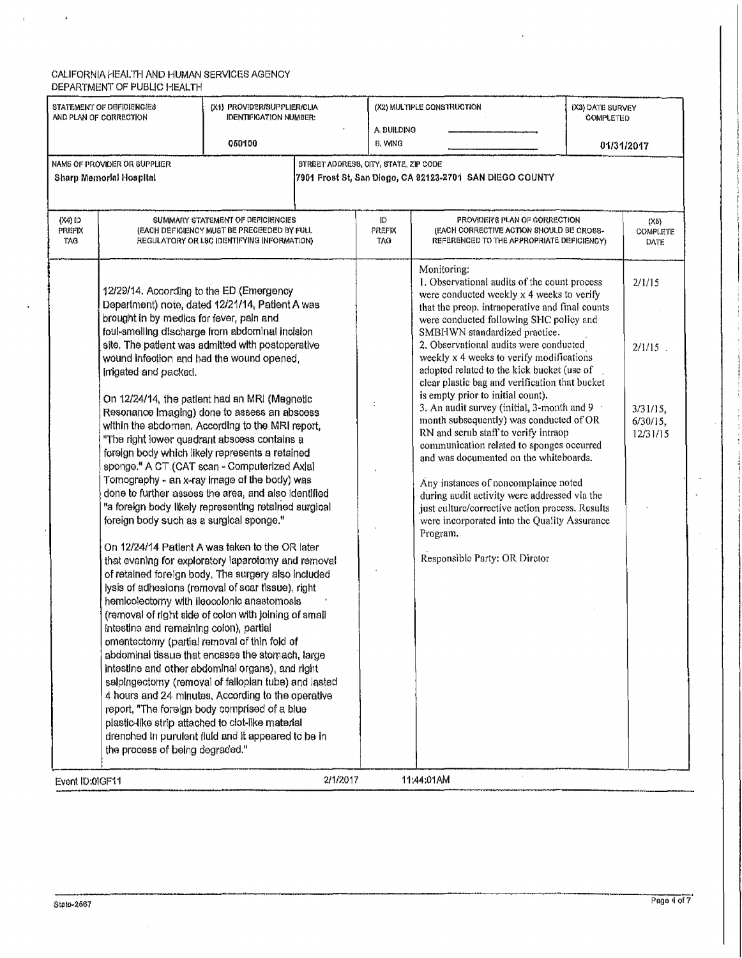$\mathbf{r}$ 

 $\sim$   $\sim$ 

| STATEMENT OF DEFICIENCIES<br>(X1) PROVIDER/SUPPLIER/CLIA<br>AND PLAN OF CORRECTION<br><b>IDENTIFICATION NUMBER:</b><br>A. BUILDING |                                                                                                                                                                                                                                                                                                                                                                                                                                                                                                                                                                                                                                                                                                                                                                                                                                                                                                                                                                                                                                                                                                                                                                                                                                                                                                                                                                                                                                                                                                                                                                                                                                                                                           | (X2) MULTIPLE CONSTRUCTION                                                                                                    | (X3) DATE SURVEY<br><b>COMPLETED</b>  |                    |                                                                                                                                                                                                                                                                                                                                                                                                                                                                                                                                                                                                                                                                                                                                                                                                                                                                                                                                    |  |                                                            |
|------------------------------------------------------------------------------------------------------------------------------------|-------------------------------------------------------------------------------------------------------------------------------------------------------------------------------------------------------------------------------------------------------------------------------------------------------------------------------------------------------------------------------------------------------------------------------------------------------------------------------------------------------------------------------------------------------------------------------------------------------------------------------------------------------------------------------------------------------------------------------------------------------------------------------------------------------------------------------------------------------------------------------------------------------------------------------------------------------------------------------------------------------------------------------------------------------------------------------------------------------------------------------------------------------------------------------------------------------------------------------------------------------------------------------------------------------------------------------------------------------------------------------------------------------------------------------------------------------------------------------------------------------------------------------------------------------------------------------------------------------------------------------------------------------------------------------------------|-------------------------------------------------------------------------------------------------------------------------------|---------------------------------------|--------------------|------------------------------------------------------------------------------------------------------------------------------------------------------------------------------------------------------------------------------------------------------------------------------------------------------------------------------------------------------------------------------------------------------------------------------------------------------------------------------------------------------------------------------------------------------------------------------------------------------------------------------------------------------------------------------------------------------------------------------------------------------------------------------------------------------------------------------------------------------------------------------------------------------------------------------------|--|------------------------------------------------------------|
|                                                                                                                                    |                                                                                                                                                                                                                                                                                                                                                                                                                                                                                                                                                                                                                                                                                                                                                                                                                                                                                                                                                                                                                                                                                                                                                                                                                                                                                                                                                                                                                                                                                                                                                                                                                                                                                           | 050100                                                                                                                        |                                       | B, WING            |                                                                                                                                                                                                                                                                                                                                                                                                                                                                                                                                                                                                                                                                                                                                                                                                                                                                                                                                    |  | 01/31/2017                                                 |
|                                                                                                                                    | NAME OF PROVIDER OR SUPPLIER<br>Sharp Memorial Hospital                                                                                                                                                                                                                                                                                                                                                                                                                                                                                                                                                                                                                                                                                                                                                                                                                                                                                                                                                                                                                                                                                                                                                                                                                                                                                                                                                                                                                                                                                                                                                                                                                                   |                                                                                                                               | STREET ADDRESS, CITY, STATE, ZIP CODE |                    | 7901 Frost St, San Diego, CA 92123-2701 SAN DIEGO COUNTY                                                                                                                                                                                                                                                                                                                                                                                                                                                                                                                                                                                                                                                                                                                                                                                                                                                                           |  |                                                            |
| $(X4)$ (D<br><b>PREFIX</b><br>TAG                                                                                                  |                                                                                                                                                                                                                                                                                                                                                                                                                                                                                                                                                                                                                                                                                                                                                                                                                                                                                                                                                                                                                                                                                                                                                                                                                                                                                                                                                                                                                                                                                                                                                                                                                                                                                           | SUMMARY STATEMENT OF DEFICIENCIES<br>(EACH DEFIGIENCY MUST BE PRECEEDED BY FULL<br>REGULATORY OR LSC IDENTIFYING INFORMATION) |                                       | D<br>PREFIX<br>TAG | PROVIDER'S PLAN OF CORRECTION<br>(EACH CORRECTIVE ACTION SHOULD BE CROSS-<br>REFERENCED TO THE APPROPRIATE DEFICIENCY)                                                                                                                                                                                                                                                                                                                                                                                                                                                                                                                                                                                                                                                                                                                                                                                                             |  | (X6)<br><b>COMPLETE</b><br>DATE                            |
|                                                                                                                                    | 12/29/14. According to the ED (Emergency<br>Department) note, dated 12/21/14, Patient A was<br>brought in by medics for fever, pain and<br>foul-smelling discharge from abdominal incision<br>site. The patient was admitted with postoperative<br>wound infection and had the wound opened,<br>irrigated and packed.<br>On 12/24/14, the patient had an MRI (Magnetic<br>Resonance Imaging) done to assess an absoess<br>within the abdomen. According to the MRI report,<br>"The right lower quadrant abscess contains a<br>foreign body which likely represents a retained<br>sponge." A CT (CAT scan - Computerized Axial<br>Tomography - an x-ray Image of the body) was<br>done to further assess the area, and also identified<br>"a foreign body likely representing retained surgical<br>foreign body such as a surgical sponge."<br>On 12/24/14 Patient A was taken to the OR later<br>that evening for exploratory laparotomy and removal<br>of retained foreign body. The surgery also included<br>lysis of adhesions (removal of scar tissue), right<br>hemicolectomy with ileocolonic anastomosis<br>(removal of right side of colon with joining of small<br>intestine and remaining colon), partial<br>omentectomy (partial removal of thin fold of<br>abdominal tissue that encases the stomach, large<br>intestine and other abdominal organs), and right<br>salpingectomy (removal of fallopian tube) and lasted<br>4 hours and 24 minutes, According to the operative<br>report, "The foreign body comprised of a blue<br>plastic-like strip attached to clot-like material<br>drenched in purulent fluid and it appeared to be in<br>the process of being degraded." |                                                                                                                               |                                       |                    | Monitoring:<br>1. Observational audits of the count process<br>were conducted weekly x 4 weeks to verify<br>that the preop. intraoperative and final counts<br>were conducted following SHC policy and<br>SMBHWN standardized practice.<br>2. Observational audits were conducted<br>weekly x 4 weeks to verify modifications<br>adopted related to the kick bucket (use of<br>clear plastic bag and verification that bucket<br>is empty prior to initial count),<br>3. An audit survey (initial, 3-month and 9<br>month subsequently) was conducted of OR<br>RN and serub staff to verify intraop<br>communication related to sponges occurred<br>and was documented on the whiteboards.<br>Any instances of noncomplaince noted<br>during audit activity were addressed via the<br>just culture/corrective action process. Results<br>were incorporated into the Quality Assurance<br>Program.<br>Responsible Party: OR Diretor |  | 2/1/15<br>2/1/15<br>$3/31/15$ ,<br>$6/30/15$ ,<br>12/31/15 |
| Event ID:0IGF11                                                                                                                    |                                                                                                                                                                                                                                                                                                                                                                                                                                                                                                                                                                                                                                                                                                                                                                                                                                                                                                                                                                                                                                                                                                                                                                                                                                                                                                                                                                                                                                                                                                                                                                                                                                                                                           |                                                                                                                               | 2/1/2017                              |                    | 11:44:01AM                                                                                                                                                                                                                                                                                                                                                                                                                                                                                                                                                                                                                                                                                                                                                                                                                                                                                                                         |  |                                                            |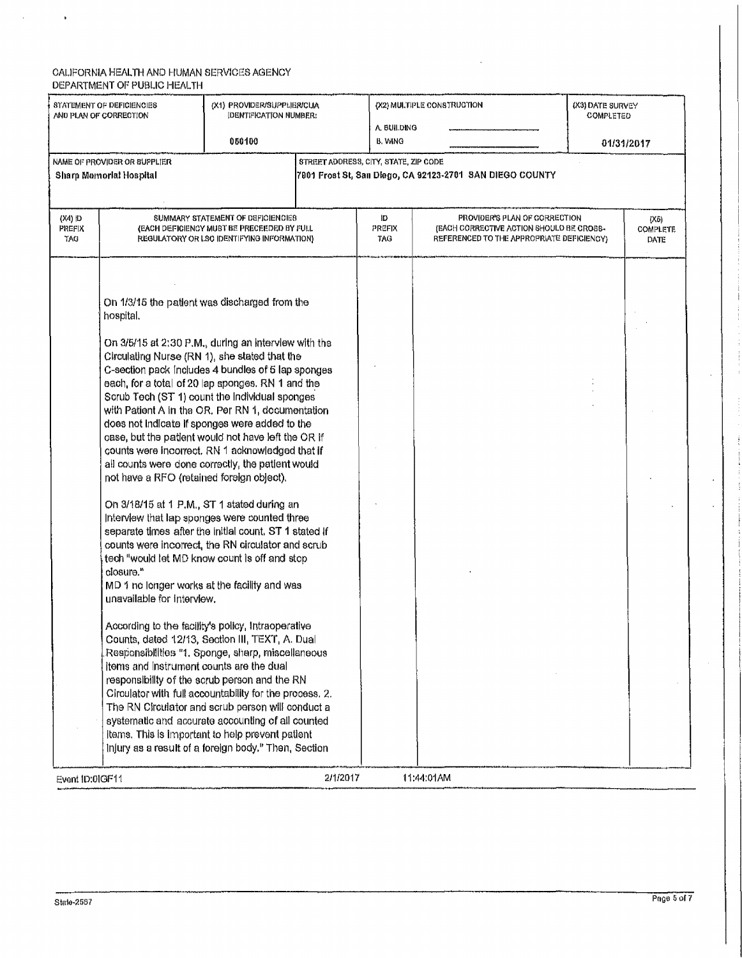$\mathcal{A}^{\mathcal{A}}$ 

 $\sim$   $\star$ 

| STATEMENT OF DEFICIENCIES<br>AND PLAN OF CORRECTION |                                                                                                                                                                                                                                                                                                                                                                                                                                                                                                                                                                                                                                                                                                                                                                                                                                                                                                                                   | (X1) PROVIDER/SUPPLIER/CLIA<br><b>IDENTIFICATION NUMBER:</b>                                                                  |                                       | (X2) MULTIPLE CONSTRUCTION<br>A BUILDING |                                                                                                                        | (X3) DATE SURVEY<br>COMPLETED          |  |
|-----------------------------------------------------|-----------------------------------------------------------------------------------------------------------------------------------------------------------------------------------------------------------------------------------------------------------------------------------------------------------------------------------------------------------------------------------------------------------------------------------------------------------------------------------------------------------------------------------------------------------------------------------------------------------------------------------------------------------------------------------------------------------------------------------------------------------------------------------------------------------------------------------------------------------------------------------------------------------------------------------|-------------------------------------------------------------------------------------------------------------------------------|---------------------------------------|------------------------------------------|------------------------------------------------------------------------------------------------------------------------|----------------------------------------|--|
|                                                     |                                                                                                                                                                                                                                                                                                                                                                                                                                                                                                                                                                                                                                                                                                                                                                                                                                                                                                                                   | 050100                                                                                                                        |                                       | <b>B. WING</b>                           |                                                                                                                        | 01/31/2017                             |  |
|                                                     | NAME OF PROVIDER OR SUPPLIER                                                                                                                                                                                                                                                                                                                                                                                                                                                                                                                                                                                                                                                                                                                                                                                                                                                                                                      |                                                                                                                               | STREET ADDRESS, CITY, STATE, ZIP CODE |                                          |                                                                                                                        |                                        |  |
|                                                     | Sharp Memorial Hospital                                                                                                                                                                                                                                                                                                                                                                                                                                                                                                                                                                                                                                                                                                                                                                                                                                                                                                           |                                                                                                                               |                                       |                                          | 7901 Frost St, San Diego, CA 92123-2701  SAN DIEGO COUNTY                                                              |                                        |  |
|                                                     |                                                                                                                                                                                                                                                                                                                                                                                                                                                                                                                                                                                                                                                                                                                                                                                                                                                                                                                                   |                                                                                                                               |                                       |                                          |                                                                                                                        |                                        |  |
|                                                     |                                                                                                                                                                                                                                                                                                                                                                                                                                                                                                                                                                                                                                                                                                                                                                                                                                                                                                                                   |                                                                                                                               |                                       |                                          |                                                                                                                        |                                        |  |
| (X4) ID<br>PREFIX<br>TAG.                           |                                                                                                                                                                                                                                                                                                                                                                                                                                                                                                                                                                                                                                                                                                                                                                                                                                                                                                                                   | SUMMARY STATEMENT OF DEFICIENCIES<br>(EACH DEFICIENCY MUST BE PRECEEDED BY FULL<br>REGULATORY OR LSC IDENTIFYING INFORMATION) |                                       | ID<br><b>PREFIX</b><br>TAG               | PROVIDER'S PLAN OF CORRECTION<br>(EACH CORRECTIVE ACTION SHOULD BE CROSS-<br>REFERENCED TO THE APPROPRIATE DEFICIENCY) | (X6)<br><b>COMPLETE</b><br><b>DATE</b> |  |
|                                                     | On 1/3/15 the patient was discharged from the<br>hospital.<br>On 3/5/15 at 2:30 P.M., during an interview with the<br>Circulating Nurse (RN 1), she stated that the<br>C-section pack includes 4 bundles of 5 lap sponges<br>each, for a total of 20 lap sponges. RN 1 and the<br>Scrub Tech (ST 1) count the Individual sponges<br>with Patient A in the OR, Per RN 1, documentation<br>does not indicate if sponges were added to the<br>case, but the patient would not have left the OR If<br>counts were incorrect. RN 1 acknowledged that if<br>all counts were done correctly, the patient would<br>not have a RFO (retained foreign object).<br>On 3/18/15 at 1 P.M., ST 1 stated during an<br>Interview that lap sponges were counted three<br>separate times after the initial count, ST 1 stated if<br>counts were incorrect, the RN circulator and scrub<br>tech "would let MD know count is off and stop<br>closure. |                                                                                                                               |                                       |                                          |                                                                                                                        |                                        |  |
|                                                     | MD 1 no longer works at the facility and was<br>unavailable for interview.                                                                                                                                                                                                                                                                                                                                                                                                                                                                                                                                                                                                                                                                                                                                                                                                                                                        |                                                                                                                               |                                       |                                          |                                                                                                                        |                                        |  |
|                                                     | According to the facility's policy, Intraoperative<br>Counts, dated 12/13, Section III, TEXT, A. Dual<br>Responsibilities "1, Sponge, sharp, miscellaneous<br>items and instrument counts are the dual<br>responsibility of the scrub person and the RN<br>Circulator with full accountability for the process. 2.<br>The RN Circulator and scrub person will conduct a<br>systematic and accurate accounting of all counted<br>items. This is important to help prevent patient                                                                                                                                                                                                                                                                                                                                                                                                                                                  |                                                                                                                               |                                       |                                          |                                                                                                                        |                                        |  |
|                                                     | injury as a result of a foreign body." Then, Section                                                                                                                                                                                                                                                                                                                                                                                                                                                                                                                                                                                                                                                                                                                                                                                                                                                                              |                                                                                                                               |                                       |                                          |                                                                                                                        |                                        |  |
| Event ID:01GF11                                     |                                                                                                                                                                                                                                                                                                                                                                                                                                                                                                                                                                                                                                                                                                                                                                                                                                                                                                                                   |                                                                                                                               | 2/1/2017                              |                                          | 11:44.01AM                                                                                                             |                                        |  |

Ĵ

 $\frac{1}{2}$ J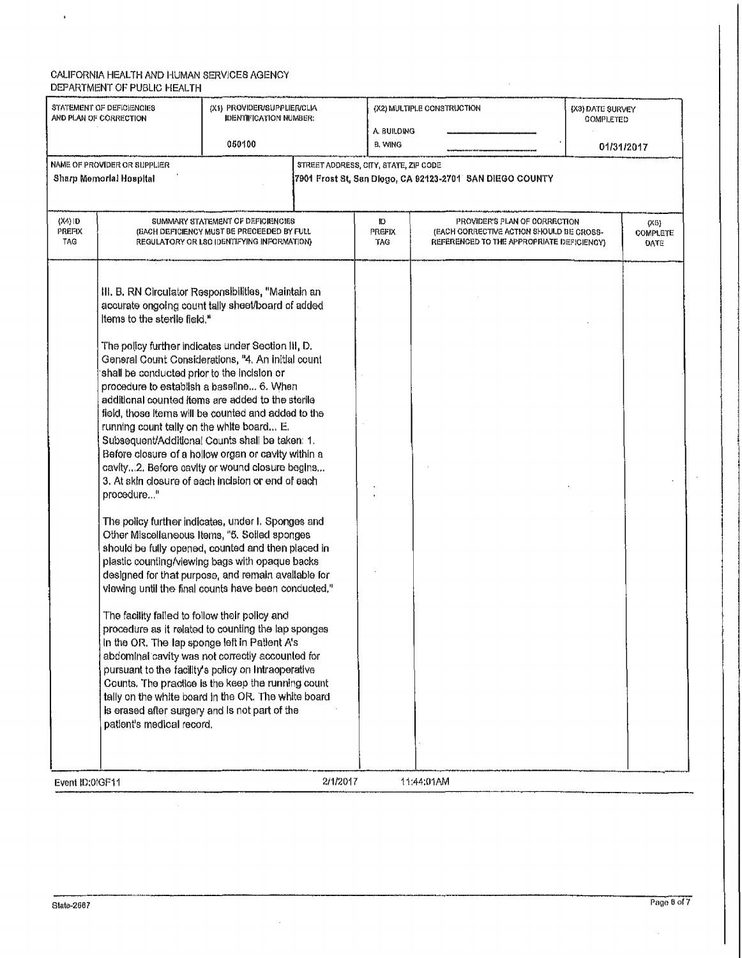$\mathbf{v}$ 

| STATEMENT OF DEFICIENCIES<br>AND PLAN OF CORRECTION |                                                                                                                                                                                                                                                                                                                                                                       | (X1) PROVIDER/SUPPLIER/CLIA<br><b>IDENTIFICATION NUMBER:</b>                                                                                                                                                                                                                                                                                                                                                                                                                                                                                                                                                                                                                                                                                                                                                                                                                                                                                                                                                                                                                                                                                                      |                                       | (X2) MULTIPLE CONSTRUCTION                                                                                             | (X3) DATE SURVEY<br><b>COMPLETED</b> |                          |
|-----------------------------------------------------|-----------------------------------------------------------------------------------------------------------------------------------------------------------------------------------------------------------------------------------------------------------------------------------------------------------------------------------------------------------------------|-------------------------------------------------------------------------------------------------------------------------------------------------------------------------------------------------------------------------------------------------------------------------------------------------------------------------------------------------------------------------------------------------------------------------------------------------------------------------------------------------------------------------------------------------------------------------------------------------------------------------------------------------------------------------------------------------------------------------------------------------------------------------------------------------------------------------------------------------------------------------------------------------------------------------------------------------------------------------------------------------------------------------------------------------------------------------------------------------------------------------------------------------------------------|---------------------------------------|------------------------------------------------------------------------------------------------------------------------|--------------------------------------|--------------------------|
|                                                     |                                                                                                                                                                                                                                                                                                                                                                       | 050100                                                                                                                                                                                                                                                                                                                                                                                                                                                                                                                                                                                                                                                                                                                                                                                                                                                                                                                                                                                                                                                                                                                                                            | A. BUILDING<br>B. WING                |                                                                                                                        |                                      | 01/31/2017               |
|                                                     | NAME OF PROVIDER OR SUPPLIER<br>Sharp Memorial Hospital                                                                                                                                                                                                                                                                                                               |                                                                                                                                                                                                                                                                                                                                                                                                                                                                                                                                                                                                                                                                                                                                                                                                                                                                                                                                                                                                                                                                                                                                                                   | STREET ADDRESS, CITY, STATE, ZIP CODE |                                                                                                                        |                                      |                          |
| (X4) ID<br>PREFIX<br><b>TAG</b>                     |                                                                                                                                                                                                                                                                                                                                                                       | SUMMARY STATEMENT OF DEFICIENCIES<br>(BACH DEFICIENCY MUST BE PRECEEDED BY FULL<br>REGULATORY OR LSC IDENTIFYING INFORMATION)                                                                                                                                                                                                                                                                                                                                                                                                                                                                                                                                                                                                                                                                                                                                                                                                                                                                                                                                                                                                                                     | D<br>PREFIX<br><b>TAG</b>             | PROVIDER'S PLAN OF CORRECTION<br>(EACH CORRECTIVE ACTION SHOULD BE CROSS-<br>REFERENCED TO THE APPROPRIATE DEFICIENCY) |                                      | (X5)<br>COMPLETE<br>DATE |
|                                                     | Items to the sterile field."<br>shall be conducted prior to the incision or<br>procedure to establish a baseline 6. When<br>running count tally on the white board E.<br>procedure"<br>The facility failed to follow their policy and<br>in the OR. The lap sponge left in Patient A's<br>is erased after surgery and is not part of the<br>patient's medical record. | III. B. RN Circulator Responsibilities, "Maintain an<br>accurate ongoing count tally sheet/board of added<br>The policy further indicates under Section III, D.<br>General Count Considerations, "4. An initial count<br>additional counted items are added to the sterile<br>field, those Items will be counted and added to the<br>Subsequent/Additional Counts shall be taken: 1.<br>Before closure of a hollow organ or cavity within a<br>cavity2. Before cavity or wound closure begins<br>3. At skin closure of each incision or end of each<br>The policy further indicates, under I. Sponges and<br>Other Miscellaneous Items, "5. Soiled sponges<br>should be fully opened, counted and then placed in<br>plastic counting/viewing bags with opaque backs<br>designed for that purpose, and remain available for<br>viewing until the final counts have been conducted."<br>procedure as it related to counting the lap sponges<br>abdominal cavity was not correctly accounted for<br>pursuant to the facility's policy on Intraoperative<br>Counts. The practice is the keep the running count<br>tally on the white board in the OR. The white board |                                       |                                                                                                                        |                                      |                          |
| Event ID:01GF11                                     |                                                                                                                                                                                                                                                                                                                                                                       | 2/1/2017                                                                                                                                                                                                                                                                                                                                                                                                                                                                                                                                                                                                                                                                                                                                                                                                                                                                                                                                                                                                                                                                                                                                                          |                                       | 11:44:01AM                                                                                                             |                                      |                          |

 $\mathcal{L}$ 

 $\sim$